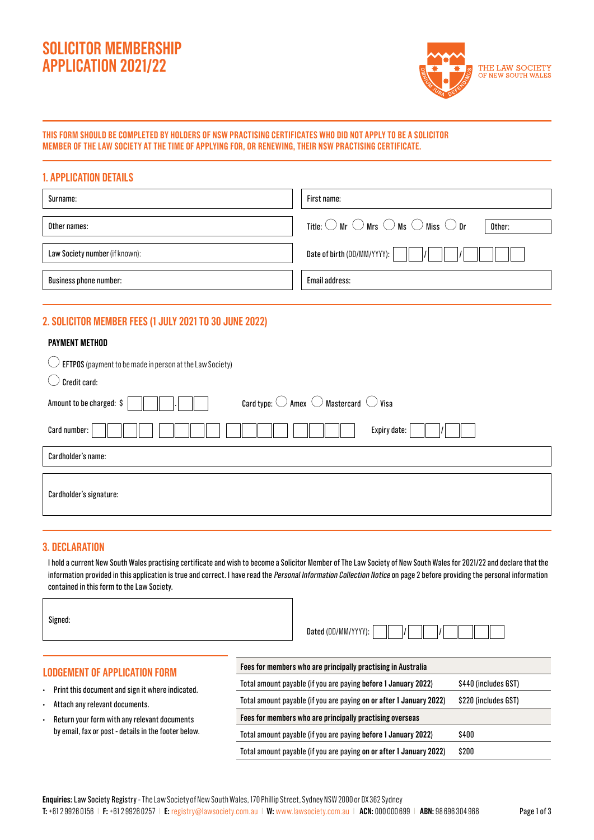# **SOLICITOR MEMBERSHIP APPLICATION 2021/22**

**1. APPLICATION DETAILS**



# **THIS FORM SHOULD BE COMPLETED BY HOLDERS OF NSW PRACTISING CERTIFICATES WHO DID NOT APPLY TO BE A SOLICITOR MEMBER OF THE LAW SOCIETY AT THE TIME OF APPLYING FOR, OR RENEWING, THEIR NSW PRACTISING CERTIFICATE.**

| 1. APPLICATION DETAILS         |                                                                                           |
|--------------------------------|-------------------------------------------------------------------------------------------|
| Surname:                       | First name:                                                                               |
| Other names:                   | Title: $\bigcirc$ Mr $\bigcirc$ Mrs $\bigcirc$ Ms $\bigcirc$ Miss $\bigcirc$ Dr<br>Other: |
| Law Society number (if known): | Date of birth (DD/MM/YYYY): $\vert$                                                       |
| <b>Business phone number:</b>  | Email address:                                                                            |

# **2. SOLICITOR MEMBER FEES (1 JULY 2021 TO 30 JUNE 2022)**

# **PAYMENT METHOD**

| EFTPOS (payment to be made in person at the Law Society)                                     |  |
|----------------------------------------------------------------------------------------------|--|
| Credit card:                                                                                 |  |
| Card type: $\bigcirc$ Amex $\bigcirc$ Mastercard $\bigcirc$ Visa<br>Amount to be charged: \$ |  |
| Expiry date:<br>Card number:                                                                 |  |
| Cardholder's name:                                                                           |  |
|                                                                                              |  |
| Cardholder's signature:                                                                      |  |
|                                                                                              |  |

# **3. DECLARATION**

I hold a current New South Wales practising certificate and wish to become a Solicitor Member of The Law Society of New South Wales for 2021/22 and declare that the information provided in this application is true and correct. I have read the Personal Information Collection Notice on page 2 before providing the personal information contained in this form to the Law Society.

| Signed:                                                                                                                                                                                                                                                                   | Dated (DD/MM/YYYY):                                                                         |
|---------------------------------------------------------------------------------------------------------------------------------------------------------------------------------------------------------------------------------------------------------------------------|---------------------------------------------------------------------------------------------|
| <b>LODGEMENT OF APPLICATION FORM</b><br>Print this document and sign it where indicated.<br>$\bullet$<br>Attach any relevant documents.<br>$\bullet$<br>Return your form with any relevant documents<br>$\bullet$<br>by email, fax or post - details in the footer below. | Fees for members who are principally practising in Australia                                |
|                                                                                                                                                                                                                                                                           | Total amount payable (if you are paying before 1 January 2022)<br>\$440 (includes GST)      |
|                                                                                                                                                                                                                                                                           | Total amount payable (if you are paying on or after 1 January 2022)<br>\$220 (includes GST) |
|                                                                                                                                                                                                                                                                           | Fees for members who are principally practising overseas                                    |
|                                                                                                                                                                                                                                                                           | Total amount payable (if you are paying before 1 January 2022)<br>\$400                     |
|                                                                                                                                                                                                                                                                           | \$200<br>Total amount payable (if you are paying on or after 1 January 2022)                |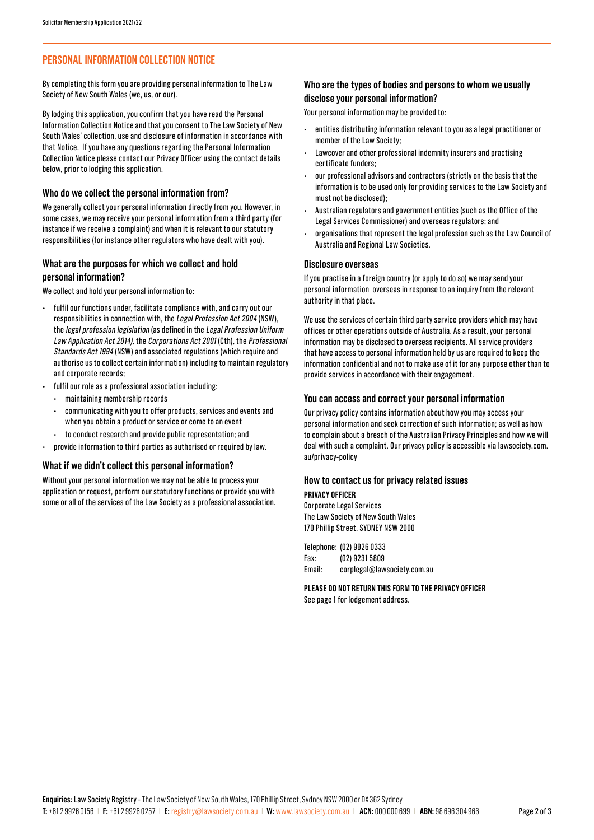# **PERSONAL INFORMATION COLLECTION NOTICE**

By completing this form you are providing personal information to The Law Society of New South Wales (we, us, or our).

By lodging this application, you confirm that you have read the Personal Information Collection Notice and that you consent to The Law Society of New South Wales' collection, use and disclosure of information in accordance with that Notice. If you have any questions regarding the Personal Information Collection Notice please contact our Privacy Officer using the contact details below, prior to lodging this application.

# **Who do we collect the personal information from?**

We generally collect your personal information directly from you. However, in some cases, we may receive your personal information from a third party (for instance if we receive a complaint) and when it is relevant to our statutory responsibilities (for instance other regulators who have dealt with you).

# **What are the purposes for which we collect and hold personal information?**

We collect and hold your personal information to:

- fulfil our functions under, facilitate compliance with, and carry out our responsibilities in connection with, the Legal Profession Act 2004 (NSW), the legal profession legislation (as defined in the Legal Profession Uniform Law Application Act 2014), the Corporations Act 2001 (Cth), the Professional Standards Act 1994 (NSW) and associated regulations (which require and authorise us to collect certain information) including to maintain regulatory and corporate records;
- fulfil our role as a professional association including:
	- maintaining membership records
- communicating with you to offer products, services and events and when you obtain a product or service or come to an event
- to conduct research and provide public representation; and
- provide information to third parties as authorised or required by law.

#### **What if we didn't collect this personal information?**

Without your personal information we may not be able to process your application or request, perform our statutory functions or provide you with some or all of the services of the Law Society as a professional association.

# **Who are the types of bodies and persons to whom we usually disclose your personal information?**

Your personal information may be provided to:

- entities distributing information relevant to you as a legal practitioner or member of the Law Society;
- Lawcover and other professional indemnity insurers and practising certificate funders;
- our professional advisors and contractors (strictly on the basis that the information is to be used only for providing services to the Law Society and must not be disclosed);
- Australian regulators and government entities (such as the Office of the Legal Services Commissioner) and overseas regulators; and
- organisations that represent the legal profession such as the Law Council of Australia and Regional Law Societies.

#### **Disclosure overseas**

If you practise in a foreign country (or apply to do so) we may send your personal information overseas in response to an inquiry from the relevant authority in that place.

We use the services of certain third party service providers which may have offices or other operations outside of Australia. As a result, your personal information may be disclosed to overseas recipients. All service providers that have access to personal information held by us are required to keep the information confidential and not to make use of it for any purpose other than to provide services in accordance with their engagement.

#### **You can access and correct your personal information**

Our privacy policy contains information about how you may access your personal information and seek correction of such information; as well as how to complain about a breach of the Australian Privacy Principles and how we will deal with such a complaint. Our privacy policy is accessible via lawsociety.com. au/privacy-policy

#### **How to contact us for privacy related issues**

#### **PRIVACY OFFICER**

Corporate Legal Services The Law Society of New South Wales 170 Phillip Street, SYDNEY NSW 2000

Telephone: (02) 9926 0333 Fax: (02) 9231 5809 Email: corplegal@lawsociety.com.au

**PLEASE DO NOT RETURN THIS FORM TO THE PRIVACY OFFICER**  See page 1 for lodgement address.